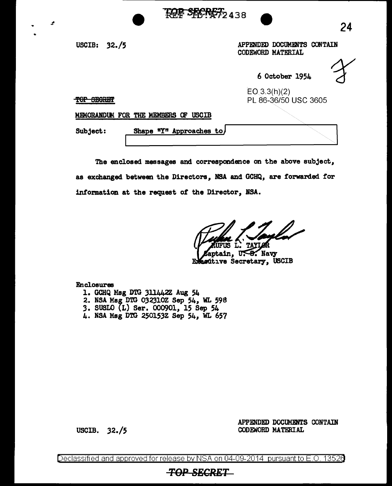USCIB: 32./5

Ŀ.

APPENDED DOCUMENTS CONTAIN CODEWORD MATERIAL

6 October 1954

24

TOP SEGRET

E03.3(h)(2) PL 86-36/50 USC 3605

MEMORANDUM FOR THE MEMBERS OF USCIB

Subject: Shape "Y" Approaches to

The enclosed messages and correspondence on the above subject, as exchanged between the Directors, NSA and GCHQ, are forwarded for information at the request of the Director, NSA.

**FOR SECRET2 438** 

tain, U<del>.S.</del> Navy ecútive Secretary, USCIB

Enclosures

- 1. GCHQ Msg DTG 311442Z Aug 54
- 2. NSA Msg DTG 032310Z Sep 54, WL 598
- 3. SUSLO {L) Ser. 000901, 15 Sep 54
- 4. NSA Mag DTG 250153Z Sep 54, WL 657

USCIB. 32./5

APPENDED DOCUMENTS CONTAIN CODEWORD MATERIAL

Declassified and approved for release by NSA on 04-09-2014 pursuant to E.O. 13526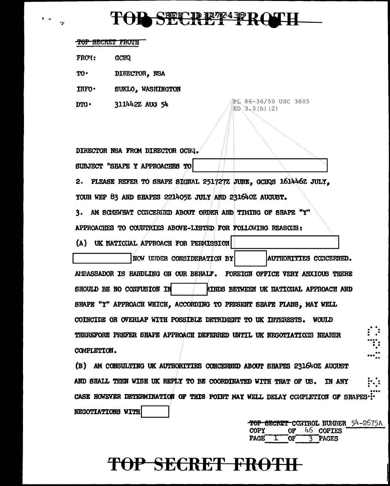## TOD SECRET FROTH

PL 86-36/50 USC 3605

 $EO(3, 3(h) (2)$ 

#### **TOP SECRET FROTH**

FROM: **GCHQ** 

TO-DIRECTOR. NSA

INFO. SUKLO. WASHINGTON

311442Z AUG 54  $n_{\text{TC}}$ .

DIRECTOR NSA FROM DIRECTOR GCHQ. SUBJECT "SHAPE Y APPROACHES TO

2. PLEASE REFER TO SHAPE SIGNAL 2517272 JUNE, GCIDS 161446Z JULY,

YOUR WEP 83 AND SHAPES 221405Z JULY AND 231640Z AUGUST.

AM SCAEWHAT CONCERNED ABOUT ORDER AND TIMING OF SHAPE "Y" 3.

APPROACHES TO COUNTRIES ABOVE-LISTED FOR FOLLOWING REASONS:

(A) UK NATICIAL APPROACH FOR PERMISSION

NOW UNDER CONSIDERATION BY AUTHORITIES CONCERNED. AITEASSADOR IS HANDLING ON OUR BEHALF. FOREIGN OFFICE VERY ANXIOUS THERE SHOULD BE NO CONFUSION IN **AIRDS BETWEEN UK RATIONAL APPROACH AND** SHAPE "Y" APPROACH WHICH. ACCORDING TO PRESENT SHAPE PLANS. MAY WELL COINCIDE OR OVERLAP WITH POSSIBLE DETRIMENT TO UK INTERESTS. WOULD THEREFORE PREFER SHAPE APPROACH DEFERRED UNTIL UK NEGOTIATIONS NEARER

COMPLETION.

(B) AM CONSULTING UK AUTHORITIES CONCERNED ABOUT SHAPES 231640Z AUGUST AND SHALL THEN WISH UK REPLY TO BE COORDINATED WITH THAT OF US. **TN ANY** CASE HOWEVER DETERMINATION OF THIS POINT MAY WELL DELAY COMPLETION OF SHAPES... NEGOTIATIONS WITH

> TOP SECRET CONTROL NUMBER 54-2675A 46 COPIES **COPY** 0F **PAGE** OF. 3 PAGES  $\mathbf{L}$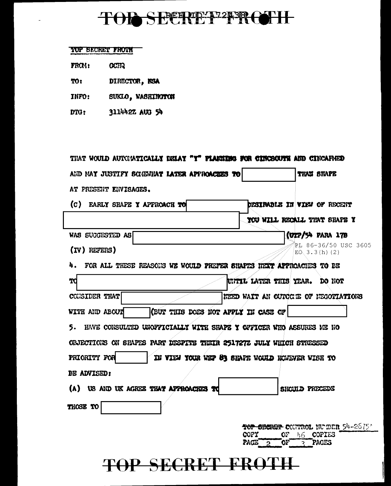## TOR SECRET PROTH

#### TOP BECRET FROIM

- FROM: **GCHQ**
- DIRECTOR, NSA TO:
- SUKLO, WASHINGTON INFO:
- 311442Z AUG 54 DTG:

| THAT WOULD AUTOMATICALLY DELAY "Y" FLANKING FOR CINCSOUTE AND CINCAFNED  |                                             |                                        |
|--------------------------------------------------------------------------|---------------------------------------------|----------------------------------------|
| AID MAY JUSTIFY SCAEWHAT LATER APPROACHES TO                             |                                             | <b>THAN SHAPE</b>                      |
| AT PRESENT ENVISAGES.                                                    |                                             |                                        |
| (c)<br>EARLY SHAPE Y APPROACH TO                                         |                                             | <b>DESIRABLE IN VIEW OF RECENT</b>     |
|                                                                          |                                             | YOU WILL RECALL THAT SHAPE Y           |
| WAS SUGGESTED AS                                                         |                                             | (UIP/54 PARA 17B                       |
| $(IV)$ REFERS)                                                           |                                             | RL 86-36/50 USC 3605<br>ED(3.3(h) (2)) |
| 4.<br>FOR ALL THESE REASONS WE WOULD PREFER SHAPES HEXT APPROACHES TO BE |                                             |                                        |
| тd                                                                       | UNTIL LATER THIS YEAR. DO NOT               |                                        |
| CONSIDER THAT                                                            |                                             | NEED WAIT AN OUNCOIE OF NEGOTIATIONS   |
| (BUT THIS DOES NOT APPLY IN CASE OF<br>WITH AND ABOUT                    |                                             |                                        |
| HAVE CONSULTED UNOFFICIALLY WITH SHAPE Y OFFICER WHO ASSURES ME NO<br>5. |                                             |                                        |
| OBJECTIONS ON SHAPES PART DESPITE THEIR 251727Z JULY WHICH STRESSED      |                                             |                                        |
| PRIORITY FOR<br>IN VIEW YOUR WEP 83 SHAPE WOULD HOWEVER WISH TO          |                                             |                                        |
| BE ADVISED:                                                              |                                             |                                        |
| (A) US AND UK AGREE THAT AFPROACHES TO                                   |                                             | SHOULD PRECEDE                         |
| <b>THOSE TO</b>                                                          |                                             |                                        |
|                                                                          |                                             | TOP SECRET CONTROL NU EER 54-2675*     |
|                                                                          | <b>COPY</b><br>OF.<br>PAGE 2<br>$O_{\rm F}$ | <b>COPIES</b><br>46.<br>PACES<br>Ç.    |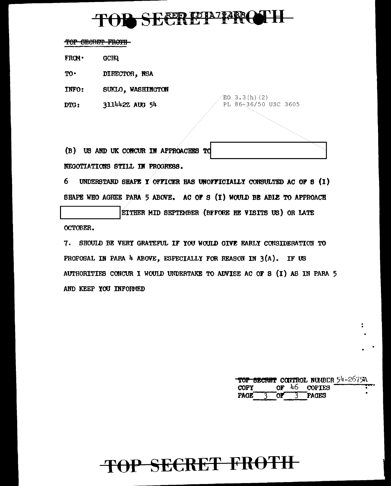# TOD SECRETE PRO

TOP SECRET FROTH-

 $FROM$ **GCIR** 

 $TO<sup>+</sup>$ DIRECTOR, NSA

SUKLO, WASHINGTON INFO:

3114422 AUG 54 DTG:

 $EO(3.3(h) (2)$ PL 86-36/50 USC 3605

(B) US AND UK CONCUR IN APPROACHES TO NEGOTIATIONS STILL IN PROGRESS.

6 UNDERSTAND SHAPE Y OFFICER HAS UNOFFICIALLY CONSULTED AC OF 8 (I) SHAPE WHO AGREE PARA 5 ABOVE. AC OF S (I) WOULD BE ABLE TO APPROACH

EITHER MID SEPTEMBER (BFFORE HE VISITS US) OR LATE **OCTOBER.** 

7. SHOULD BE VERY GRATEFUL IF YOU WOULD GIVE EARLY CONSIDERATION TO PROPOSAL IN PARA 4 ABOVE, ESPECIALLY FOR REASON IN 3(A). IF US AUTHORITIES CONCUR I WOULD UNDERTAKE TO ADVISE AC OF S (I) AS IN PARA 5 AND KEEP YOU INFORMED

|  |  | TOP SECRET CONTROL NUMBER 54-2675A |  |
|--|--|------------------------------------|--|
|  |  | $\text{copy}$ or 46 copies         |  |
|  |  | PAGE 3 OF 3 PAGES                  |  |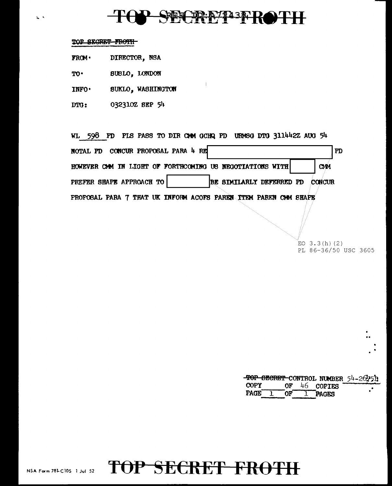### PPP743FR

#### TOP SECRET FROTH

 $\mathbf{L}$ 

- DIRECTOR, NSA  $TROM$
- TO. SUSLO, LONDON
- INFO. SUKLO, WASHINGTON
- 032310Z SEP 54 DTG:

WL 598 PD PLS PASS TO DIR CAM GCHQ PD URASG DTG 311442Z AUG 54 NOTAL PD CONCUR PROPOSAL PARA 4 RE  $\mathbf{PD}$ HOWEVER CAM IN LIGHT OF FORTHCOMING US NEGOTIATIONS WITH **CMM** PREFER SHAPE APPROACH TO BE SIMILARLY DEFERRED PD **CONCUR** PROPOSAL PARA 7 THAT UK INFORM ACOFS PAREN ITEM PAREN OM SHAPE

> EO  $3.3(h)$  (2) PL 86-36/50 USC 3605

|                   |  |                | TOP SECRET CONTROL NUMBER 54-2675h |
|-------------------|--|----------------|------------------------------------|
| <b>COPY</b>       |  | OF $46$ COPIES |                                    |
| PAGE <sup>-</sup> |  | 1 OF 1 PAGES   |                                    |

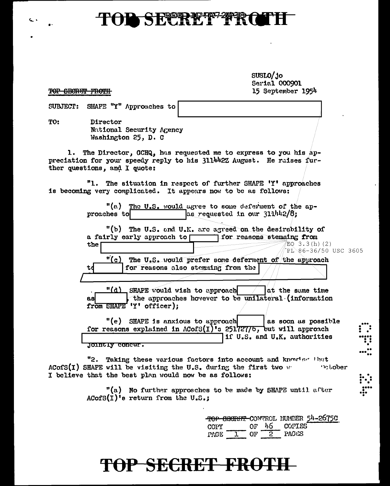#### SECRETZ **TO**

SUSLO/jo Serial 000901 15 September 1954

 $0.5<sub>1</sub>$ 

TOP GECRET FROTH

c.

|     | SUBJECT: SHAPE "Y" Approaches to                                                                                                                                            |
|-----|-----------------------------------------------------------------------------------------------------------------------------------------------------------------------------|
| TO: | Director<br>National Security Agency<br>Washington 25, D. C                                                                                                                 |
|     | 1. The Director, GCHQ, has requested me to express to you his ap-<br>preciation for your speedy reply to his 311442Z August. He raises fur-<br>ther questions, and I quote: |
|     | "1. The situation in respect of further SHAPE 'Y' approaches<br>is becoming very complicated. It appears now to be as follows:                                              |
|     | "(a) The U.S. would agree to some deferment of the ap-<br>$\approx$ requested in our 311/42/8;<br>proaches to                                                               |
|     | "(b) The U.S. and U.K. are agreed on the desirability of<br>a fairly early approach to reasons stemming from<br>EQ 3.3(h)(2)<br>the <b>l</b>                                |
|     | PL\86-36/50 USC 36<br>$\frac{n(c)}{c}$ The U.S. would prefer some deferment of the approach<br>for reasons also stemming from the<br>td                                     |
|     |                                                                                                                                                                             |
|     | $"$ (d) SHAPE would wish to approach $\qquad$<br>at the same time<br>the approaches hovever to be unilateral (information<br>asl<br>from SHAPE 'Y' officer);                |
|     | "(e) SHAPE is anxious to approach<br>as soon as possible<br>for reasons explained in $\Lambda$ CofS(I)'s 251727/5, but will approach<br>if U.S. and U.K. authorities        |
|     | io Half IV de l'alter                                                                                                                                                       |

"2. Taking these various factors into account and knowled that ACofS(I) SHAPE will be visiting the U.S. during the first two we **Polober** I believe that the best plan would now be as follows:

> "(a) No further approaches to be made by SHAPE until after  $ACofS(I)^{i}$ s return from the U.S.;

|        |    |     |                | <del>top secriti</del> -comunci number 54-2675C |
|--------|----|-----|----------------|-------------------------------------------------|
| COFY . |    |     | $or 46$ copies |                                                 |
| PAGE   | በም | - 2 | <b>PAGES</b>   |                                                 |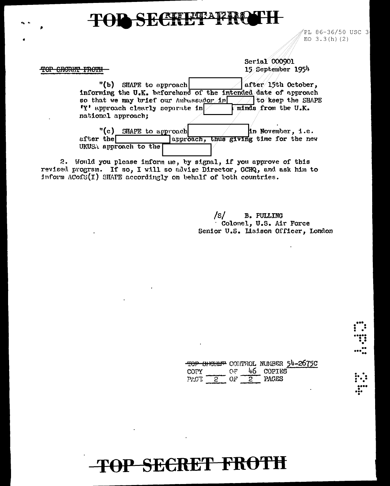### SECHUT

TOP SECRET FROTH

PL 86-36/50 USC 3 EO  $3.3(h)(2)$ 

Scrial 000901 15 September 1954

"(b) SHAPE to approach after 15th October, informing the U.K. beforehand of the intended date of approach so that we may brief our Ambussador in  $\Box$  to keep the SHAPE minds from the U.K. "Y' approach clearly separate in national approach;

"(c) SHAPE to approach in November, i.e. after the  $\Box$ approach, thus giving time for the new UKUSA approach to the

2. Would you please inform me, by signal, if you approve of this revised progrsm. If so, I will so advise Director, GCHQ, and ask him to inform ACofS(I) SHAFE accordingly on behalf of both countries.

> $/s/$ **B. PULLING** Colonel, U.S. Air Force Senior U.S. Liaison Officer, London

|                     |       |          |     |                                 | TOP SHORET CONTROL NUMBER 54-2675C |
|---------------------|-------|----------|-----|---------------------------------|------------------------------------|
| COPY                |       |          |     | <b>EXAMPLE OF THE 46 COPIES</b> |                                    |
| $P{{\cal L}G}$ $^+$ | - 9 - | - 1012 - | - 2 | PAGES                           |                                    |